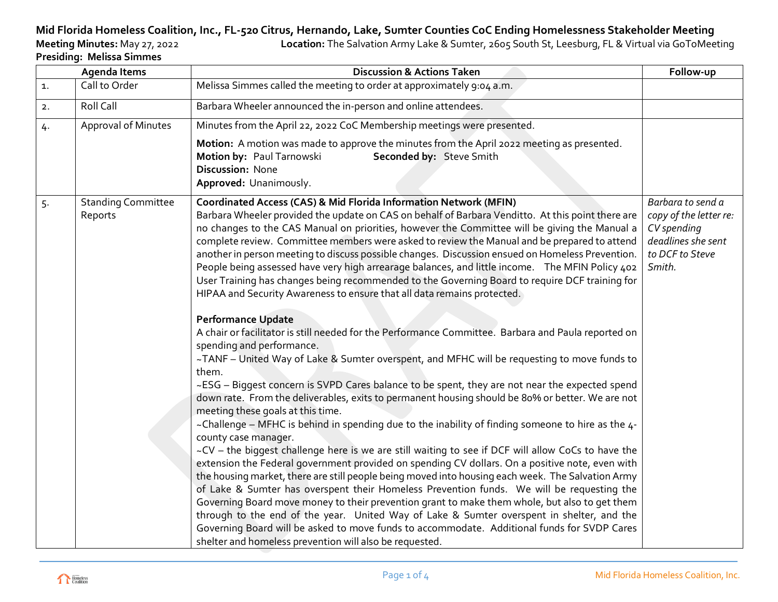## **Mid Florida Homeless Coalition, Inc., FL-520 Citrus, Hernando, Lake, Sumter Counties CoC Ending Homelessness Stakeholder Meeting**

Location: The Salvation Army Lake & Sumter, 2605 South St, Leesburg, FL & Virtual via GoToMeeting

| <b>Presiding: Melissa Simmes</b> |
|----------------------------------|

| <b>Agenda Items</b> |                                      | <b>Discussion &amp; Actions Taken</b>                                                                                                                                                                                                                                                                                                                                                                                                                                                                                                                                                                                                                                                                                                                                                                                                                                                                                                                                                                                                                                                                                                                                                                                                                                                                                                                                                                                                                                                                                                                                                                                                                                                                                                                                                                                                                                                                                                                                                                                                                                                                                                                                                      | Follow-up                                                                                                     |
|---------------------|--------------------------------------|--------------------------------------------------------------------------------------------------------------------------------------------------------------------------------------------------------------------------------------------------------------------------------------------------------------------------------------------------------------------------------------------------------------------------------------------------------------------------------------------------------------------------------------------------------------------------------------------------------------------------------------------------------------------------------------------------------------------------------------------------------------------------------------------------------------------------------------------------------------------------------------------------------------------------------------------------------------------------------------------------------------------------------------------------------------------------------------------------------------------------------------------------------------------------------------------------------------------------------------------------------------------------------------------------------------------------------------------------------------------------------------------------------------------------------------------------------------------------------------------------------------------------------------------------------------------------------------------------------------------------------------------------------------------------------------------------------------------------------------------------------------------------------------------------------------------------------------------------------------------------------------------------------------------------------------------------------------------------------------------------------------------------------------------------------------------------------------------------------------------------------------------------------------------------------------------|---------------------------------------------------------------------------------------------------------------|
| 1.                  | Call to Order                        | Melissa Simmes called the meeting to order at approximately 9:04 a.m.                                                                                                                                                                                                                                                                                                                                                                                                                                                                                                                                                                                                                                                                                                                                                                                                                                                                                                                                                                                                                                                                                                                                                                                                                                                                                                                                                                                                                                                                                                                                                                                                                                                                                                                                                                                                                                                                                                                                                                                                                                                                                                                      |                                                                                                               |
| 2.                  | Roll Call                            | Barbara Wheeler announced the in-person and online attendees.                                                                                                                                                                                                                                                                                                                                                                                                                                                                                                                                                                                                                                                                                                                                                                                                                                                                                                                                                                                                                                                                                                                                                                                                                                                                                                                                                                                                                                                                                                                                                                                                                                                                                                                                                                                                                                                                                                                                                                                                                                                                                                                              |                                                                                                               |
| 4.                  | Approval of Minutes                  | Minutes from the April 22, 2022 CoC Membership meetings were presented.                                                                                                                                                                                                                                                                                                                                                                                                                                                                                                                                                                                                                                                                                                                                                                                                                                                                                                                                                                                                                                                                                                                                                                                                                                                                                                                                                                                                                                                                                                                                                                                                                                                                                                                                                                                                                                                                                                                                                                                                                                                                                                                    |                                                                                                               |
|                     |                                      | Motion: A motion was made to approve the minutes from the April 2022 meeting as presented.<br>Motion by: Paul Tarnowski<br>Seconded by: Steve Smith<br>Discussion: None<br>Approved: Unanimously.                                                                                                                                                                                                                                                                                                                                                                                                                                                                                                                                                                                                                                                                                                                                                                                                                                                                                                                                                                                                                                                                                                                                                                                                                                                                                                                                                                                                                                                                                                                                                                                                                                                                                                                                                                                                                                                                                                                                                                                          |                                                                                                               |
| 5.                  | <b>Standing Committee</b><br>Reports | <b>Coordinated Access (CAS) &amp; Mid Florida Information Network (MFIN)</b><br>Barbara Wheeler provided the update on CAS on behalf of Barbara Venditto. At this point there are<br>no changes to the CAS Manual on priorities, however the Committee will be giving the Manual a<br>complete review. Committee members were asked to review the Manual and be prepared to attend<br>another in person meeting to discuss possible changes. Discussion ensued on Homeless Prevention.<br>People being assessed have very high arrearage balances, and little income. The MFIN Policy 402<br>User Training has changes being recommended to the Governing Board to require DCF training for<br>HIPAA and Security Awareness to ensure that all data remains protected.<br><b>Performance Update</b><br>A chair or facilitator is still needed for the Performance Committee. Barbara and Paula reported on<br>spending and performance.<br>~TANF - United Way of Lake & Sumter overspent, and MFHC will be requesting to move funds to<br>them.<br>~ESG - Biggest concern is SVPD Cares balance to be spent, they are not near the expected spend<br>down rate. From the deliverables, exits to permanent housing should be 80% or better. We are not<br>meeting these goals at this time.<br>~Challenge - MFHC is behind in spending due to the inability of finding someone to hire as the 4-<br>county case manager.<br>~CV - the biggest challenge here is we are still waiting to see if DCF will allow CoCs to have the<br>extension the Federal government provided on spending CV dollars. On a positive note, even with<br>the housing market, there are still people being moved into housing each week. The Salvation Army<br>of Lake & Sumter has overspent their Homeless Prevention funds. We will be requesting the<br>Governing Board move money to their prevention grant to make them whole, but also to get them<br>through to the end of the year. United Way of Lake & Sumter overspent in shelter, and the<br>Governing Board will be asked to move funds to accommodate. Additional funds for SVDP Cares<br>shelter and homeless prevention will also be requested. | Barbara to send a<br>copy of the letter re:<br>CV spending<br>deadlines she sent<br>to DCF to Steve<br>Smith. |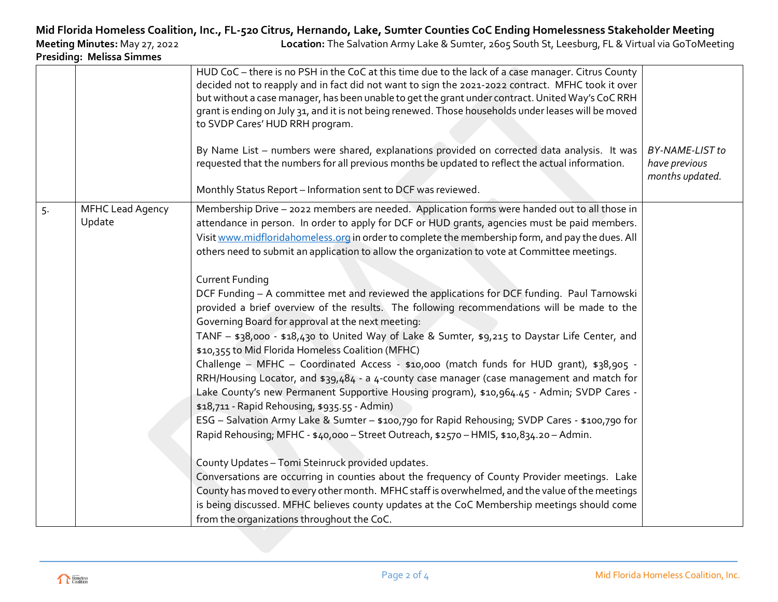## **Mid Florida Homeless Coalition, Inc., FL-520 Citrus, Hernando, Lake, Sumter Counties CoC Ending Homelessness Stakeholder Meeting<br>Location: The Salvation Army Lake & Sumter, 2605 South St, Leesburg, FL & Virtual via GoToMe**

**Presiding: Melissa Simmes**

**Meeting Minutes:** May 27, 2022 **Location:** The Salvation Army Lake & Sumter, 2605 South St, Leesburg, FL & Virtual via GoToMeeting

|    |                                   | HUD CoC - there is no PSH in the CoC at this time due to the lack of a case manager. Citrus County<br>decided not to reapply and in fact did not want to sign the 2021-2022 contract. MFHC took it over<br>but without a case manager, has been unable to get the grant under contract. United Way's CoC RRH<br>grant is ending on July 31, and it is not being renewed. Those households under leases will be moved<br>to SVDP Cares' HUD RRH program.<br>By Name List - numbers were shared, explanations provided on corrected data analysis. It was<br>requested that the numbers for all previous months be updated to reflect the actual information.                                                                                                                                                                                                                                                                                                                                                                                                                                                                                                                                                                                                                                                                                                                  | <b>BY-NAME-LIST to</b><br>have previous<br>months updated. |
|----|-----------------------------------|------------------------------------------------------------------------------------------------------------------------------------------------------------------------------------------------------------------------------------------------------------------------------------------------------------------------------------------------------------------------------------------------------------------------------------------------------------------------------------------------------------------------------------------------------------------------------------------------------------------------------------------------------------------------------------------------------------------------------------------------------------------------------------------------------------------------------------------------------------------------------------------------------------------------------------------------------------------------------------------------------------------------------------------------------------------------------------------------------------------------------------------------------------------------------------------------------------------------------------------------------------------------------------------------------------------------------------------------------------------------------|------------------------------------------------------------|
|    |                                   | Monthly Status Report - Information sent to DCF was reviewed.                                                                                                                                                                                                                                                                                                                                                                                                                                                                                                                                                                                                                                                                                                                                                                                                                                                                                                                                                                                                                                                                                                                                                                                                                                                                                                                |                                                            |
| 5. | <b>MFHC Lead Agency</b><br>Update | Membership Drive - 2022 members are needed. Application forms were handed out to all those in<br>attendance in person. In order to apply for DCF or HUD grants, agencies must be paid members.<br>Visit www.midfloridahomeless.org in order to complete the membership form, and pay the dues. All<br>others need to submit an application to allow the organization to vote at Committee meetings.                                                                                                                                                                                                                                                                                                                                                                                                                                                                                                                                                                                                                                                                                                                                                                                                                                                                                                                                                                          |                                                            |
|    |                                   | <b>Current Funding</b><br>DCF Funding - A committee met and reviewed the applications for DCF funding. Paul Tarnowski<br>provided a brief overview of the results. The following recommendations will be made to the<br>Governing Board for approval at the next meeting:<br>TANF - \$38,000 - \$18,430 to United Way of Lake & Sumter, \$9,215 to Daystar Life Center, and<br>\$10,355 to Mid Florida Homeless Coalition (MFHC)<br>Challenge - MFHC - Coordinated Access - \$10,000 (match funds for HUD grant), \$38,905 -<br>RRH/Housing Locator, and \$39,484 - a 4-county case manager (case management and match for<br>Lake County's new Permanent Supportive Housing program), \$10,964.45 - Admin; SVDP Cares -<br>\$18,711 - Rapid Rehousing, \$935.55 - Admin)<br>ESG - Salvation Army Lake & Sumter - \$100,790 for Rapid Rehousing; SVDP Cares - \$100,790 for<br>Rapid Rehousing; MFHC - \$40,000 - Street Outreach, \$2570 - HMIS, \$10,834.20 - Admin.<br>County Updates - Tomi Steinruck provided updates.<br>Conversations are occurring in counties about the frequency of County Provider meetings. Lake<br>County has moved to every other month. MFHC staff is overwhelmed, and the value of the meetings<br>is being discussed. MFHC believes county updates at the CoC Membership meetings should come<br>from the organizations throughout the CoC. |                                                            |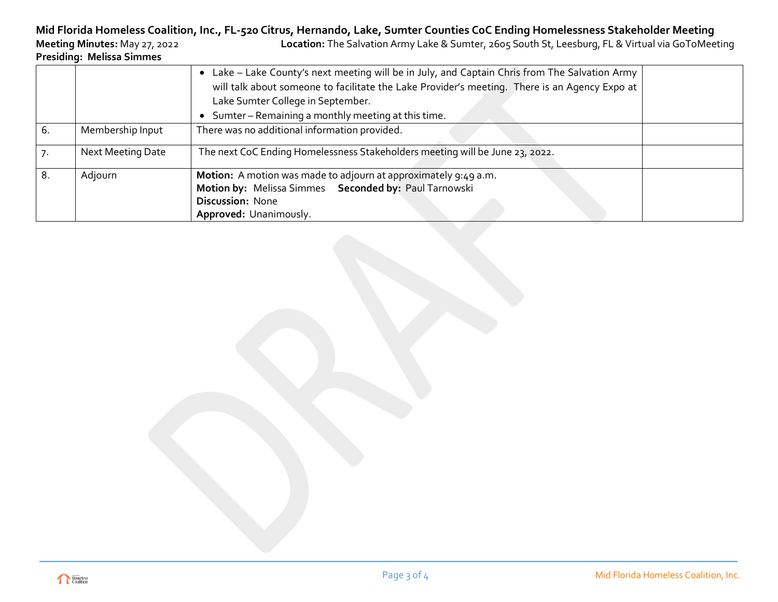## **Mid Florida Homeless Coalition, Inc., FL-520 Citrus, Hernando, Lake, Sumter Counties CoC Ending Homelessness Stakeholder Meeting**

**Meeting Minutes:** May 27, 2022 **Location:** The Salvation Army Lake & Sumter, 2605 South St, Leesburg, FL & Virtual via GoToMeeting **Presiding: Melissa Simmes**

|    |                   | Lake - Lake County's next meeting will be in July, and Captain Chris from The Salvation Army<br>will talk about someone to facilitate the Lake Provider's meeting. There is an Agency Expo at<br>Lake Sumter College in September.<br>Sumter - Remaining a monthly meeting at this time.<br>$\bullet$ |  |
|----|-------------------|-------------------------------------------------------------------------------------------------------------------------------------------------------------------------------------------------------------------------------------------------------------------------------------------------------|--|
| 6. | Membership Input  | There was no additional information provided.                                                                                                                                                                                                                                                         |  |
|    | Next Meeting Date | The next CoC Ending Homelessness Stakeholders meeting will be June 23, 2022.                                                                                                                                                                                                                          |  |
| 8. | Adjourn           | <b>Motion:</b> A motion was made to adjourn at approximately 9:49 a.m.<br>Motion by: Melissa Simmes Seconded by: Paul Tarnowski<br>Discussion: None<br>Approved: Unanimously.                                                                                                                         |  |